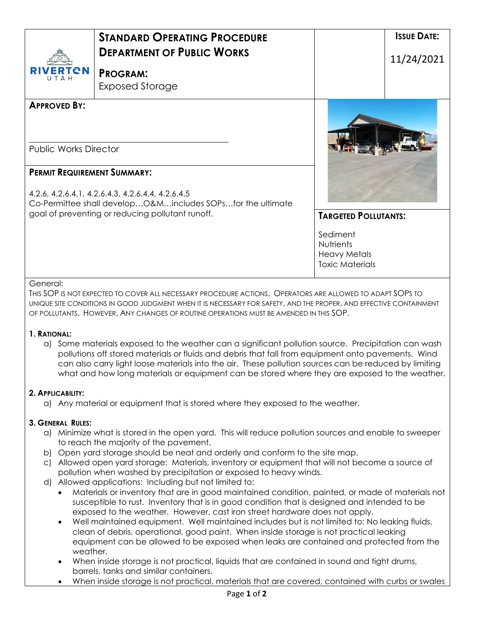| <b>RIVERTEN</b>                                                                                                                                                                                           | <b>STANDARD OPERATING PROCEDURE</b><br><b>DEPARTMENT OF PUBLIC WORKS</b><br><b>PROGRAM:</b>                                                                                                                                                                                                                                                                                                                         |                                                                               | <b>ISSUE DATE:</b><br>11/24/2021 |
|-----------------------------------------------------------------------------------------------------------------------------------------------------------------------------------------------------------|---------------------------------------------------------------------------------------------------------------------------------------------------------------------------------------------------------------------------------------------------------------------------------------------------------------------------------------------------------------------------------------------------------------------|-------------------------------------------------------------------------------|----------------------------------|
| <b>APPROVED BY:</b><br><b>Public Works Director</b>                                                                                                                                                       | <b>Exposed Storage</b>                                                                                                                                                                                                                                                                                                                                                                                              |                                                                               |                                  |
| <b>PERMIT REQUIREMENT SUMMARY:</b><br>4.2.6, 4.2.6.4.1, 4.2.6.4.3, 4.2.6.4.4, 4.2.6.4.5<br>Co-Permittee shall developO&Mincludes SOPsfor the ultimate<br>goal of preventing or reducing pollutant runoff. |                                                                                                                                                                                                                                                                                                                                                                                                                     | <b>TARGETED POLLUTANTS:</b>                                                   |                                  |
|                                                                                                                                                                                                           |                                                                                                                                                                                                                                                                                                                                                                                                                     | Sediment<br><b>Nutrients</b><br><b>Heavy Metals</b><br><b>Toxic Materials</b> |                                  |
| General:                                                                                                                                                                                                  | THIS SOP IS NOT EXPECTED TO COVER ALL NECESSARY PROCEDURE ACTIONS. OPERATORS ARE ALLOWED TO ADAPT SOPS TO<br>UNIQUE SITE CONDITIONS IN GOOD JUDGMENT WHEN IT IS NECESSARY FOR SAFETY, AND THE PROPER, AND EFFECTIVE CONTAINMENT<br>OF POLLUTANTS. HOWEVER, ANY CHANGES OF ROUTINE OPERATIONS MUST BE AMENDED IN THIS SOP.                                                                                           |                                                                               |                                  |
| 1. RATIONAL:                                                                                                                                                                                              | a) Some materials exposed to the weather can a significant pollution source. Precipitation can wash<br>pollutions off stored materials or fluids and debris that fall from equipment onto pavements. Wind<br>can also carry light loose materials into the air. These pollution sources can be reduced by limiting<br>what and how long materials or equipment can be stored where they are exposed to the weather. |                                                                               |                                  |

## **2. APPLICABILITY:**

a) Any material or equipment that is stored where they exposed to the weather.

## **3. GENERAL RULES:**

- a) Minimize what is stored in the open yard. This will reduce pollution sources and enable to sweeper to reach the majority of the pavement.
- b) Open yard storage should be neat and orderly and conform to the site map.
- c) Allowed open yard storage: Materials, inventory or equipment that will not become a source of pollution when washed by precipitation or exposed to heavy winds.
- d) Allowed applications: Including but not limited to:
	- Materials or inventory that are in good maintained condition, painted, or made of materials not susceptible to rust. Inventory that is in good condition that is designed and intended to be exposed to the weather. However, cast iron street hardware does not apply.
	- Well maintained equipment. Well maintained includes but is not limited to: No leaking fluids, clean of debris, operational, good paint. When inside storage is not practical leaking equipment can be allowed to be exposed when leaks are contained and protected from the weather.
	- When inside storage is not practical, liquids that are contained in sound and tight drums, barrels, tanks and similar containers.
	- When inside storage is not practical, materials that are covered, contained with curbs or swales